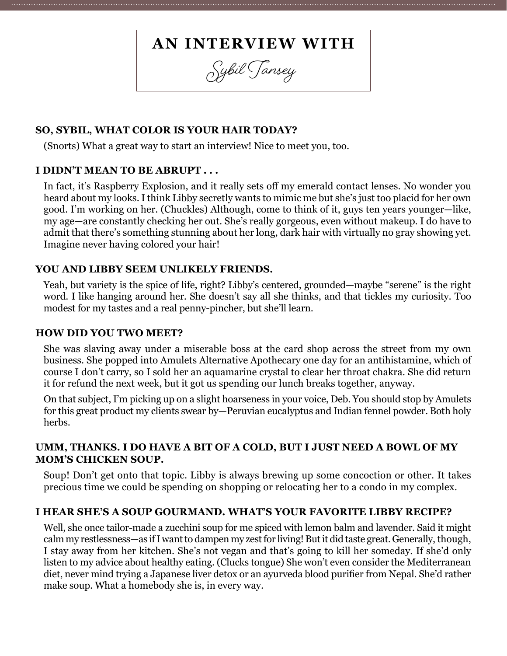# **AN INTERVIEW WITH**

**Sybil Tansey**

### **SO, SYBIL, WHAT COLOR IS YOUR HAIR TODAY?**

(Snorts) What a great way to start an interview! Nice to meet you, too.

#### **I DIDN'T MEAN TO BE ABRUPT . . .**

In fact, it's Raspberry Explosion, and it really sets off my emerald contact lenses. No wonder you heard about my looks. I think Libby secretly wants to mimic me but she's just too placid for her own good. I'm working on her. (Chuckles) Although, come to think of it, guys ten years younger—like, my age—are constantly checking her out. She's really gorgeous, even without makeup. I do have to admit that there's something stunning about her long, dark hair with virtually no gray showing yet. Imagine never having colored your hair!

#### **YOU AND LIBBY SEEM UNLIKELY FRIENDS.**

Yeah, but variety is the spice of life, right? Libby's centered, grounded—maybe "serene" is the right word. I like hanging around her. She doesn't say all she thinks, and that tickles my curiosity. Too modest for my tastes and a real penny-pincher, but she'll learn.

#### **HOW DID YOU TWO MEET?**

She was slaving away under a miserable boss at the card shop across the street from my own business. She popped into Amulets Alternative Apothecary one day for an antihistamine, which of course I don't carry, so I sold her an aquamarine crystal to clear her throat chakra. She did return it for refund the next week, but it got us spending our lunch breaks together, anyway.

On that subject, I'm picking up on a slight hoarseness in your voice, Deb. You should stop by Amulets for this great product my clients swear by—Peruvian eucalyptus and Indian fennel powder. Both holy herbs.

#### **UMM, THANKS. I DO HAVE A BIT OF A COLD, BUT I JUST NEED A BOWL OF MY MOM'S CHICKEN SOUP.**

Soup! Don't get onto that topic. Libby is always brewing up some concoction or other. It takes precious time we could be spending on shopping or relocating her to a condo in my complex.

#### **I HEAR SHE'S A SOUP GOURMAND. WHAT'S YOUR FAVORITE LIBBY RECIPE?**

Well, she once tailor-made a zucchini soup for me spiced with lemon balm and lavender. Said it might calm my restlessness—as if I want to dampen my zest for living! But it did taste great. Generally, though, I stay away from her kitchen. She's not vegan and that's going to kill her someday. If she'd only listen to my advice about healthy eating. (Clucks tongue) She won't even consider the Mediterranean diet, never mind trying a Japanese liver detox or an ayurveda blood purifier from Nepal. She'd rather make soup. What a homebody she is, in every way.